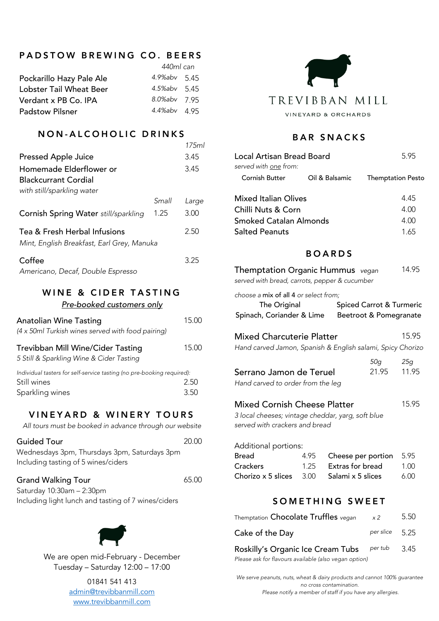# PADSTOW BREWING CO. BEERS

|                          | 440ml can    |  |
|--------------------------|--------------|--|
| Pockarillo Hazy Pale Ale | 4.9%abv 5.45 |  |
| Lobster Tail Wheat Beer  | 4.5%abv 5.45 |  |
| Verdant x PB Co. IPA     | 8.0%abv 7.95 |  |
| <b>Padstow Pilsner</b>   | 4.4%abv 4.95 |  |
|                          |              |  |

### NON - ALCOHOLIC DRINKS

|                                                                            |       | 17.5ml |
|----------------------------------------------------------------------------|-------|--------|
| <b>Pressed Apple Juice</b>                                                 |       | 3.45   |
| Homemade Elderflower or<br><b>Blackcurrant Cordial</b>                     |       | 3.45   |
| with still/sparkling water                                                 |       |        |
|                                                                            | Small | Large  |
| Cornish Spring Water still/sparkling                                       | 1.25  | 3.00   |
| Tea & Fresh Herbal Infusions<br>Mint, English Breakfast, Earl Grey, Manuka |       | 2.50   |
|                                                                            |       |        |
| Coffee                                                                     |       | 3.25   |

*Americano, Decaf, Double Espresso*

### WINE & CIDER TASTING *Pre-booked customers only*

| Anatolian Wine Tasting<br>(4 x 50ml Turkish wines served with food pairing)                              | 15.00        |
|----------------------------------------------------------------------------------------------------------|--------------|
| Trevibban Mill Wine/Cider Tasting<br>5 Still & Sparkling Wine & Cider Tasting                            | 15.00        |
| Individual tasters for self-service tasting (no pre-booking required):<br>Still wines<br>Sparkling wines | 2.50<br>3.50 |

## VINEYARD & WINERY TOURS

*All tours must be booked in advance through our website*

| <b>Guided Tour</b>                           | 20.00 |
|----------------------------------------------|-------|
| Wednesdays 3pm, Thursdays 3pm, Saturdays 3pm |       |
| Including tasting of 5 wines/ciders          |       |
| <b>Grand Walking Tour</b>                    | 65.00 |

Saturday 10:30am – 2:30pm Including light lunch and tasting of 7 wines/ciders



We are open mid-February - December Tuesday – Saturday 12:00 – 17:00

> 01841 541 413 admin@trevibbanmill.com www.trevibbanmill.com



### BAR SNACKS

| Local Artisan Bread Board<br>served with one from:                                                                         |      |                   |                          | 5.95  |
|----------------------------------------------------------------------------------------------------------------------------|------|-------------------|--------------------------|-------|
| <b>Cornish Butter</b>                                                                                                      |      | Oil & Balsamic    | <b>Themptation Pesto</b> |       |
| <b>Mixed Italian Olives</b>                                                                                                |      |                   |                          | 4.45  |
| Chilli Nuts & Corn                                                                                                         |      |                   |                          | 4.00  |
| <b>Smoked Catalan Almonds</b>                                                                                              |      |                   |                          | 4.00  |
| <b>Salted Peanuts</b>                                                                                                      |      |                   |                          | 1.65  |
|                                                                                                                            |      | <b>BOARDS</b>     |                          |       |
| <b>Themptation Organic Hummus</b> vegan<br>served with bread, carrots, pepper & cucumber                                   |      |                   |                          | 14.95 |
| choose a mix of all 4 or select from;<br>The Original<br>Spinach, Coriander & Lime Beetroot & Pomegranate                  |      |                   | Spiced Carrot & Turmeric |       |
| <b>Mixed Charcuterie Platter</b><br>Hand carved Jamon, Spanish & English salami, Spicy Chorizo                             |      |                   |                          | 15.95 |
|                                                                                                                            |      |                   | 50g                      | 25g   |
| Serrano Jamon de Teruel<br>Hand carved to order from the leg                                                               |      |                   | 21.95                    | 11.95 |
| <b>Mixed Cornish Cheese Platter</b><br>3 local cheeses; vintage cheddar, yarg, soft blue<br>served with crackers and bread |      |                   |                          | 15.95 |
| Additional portions:                                                                                                       |      |                   |                          |       |
| <b>Bread</b>                                                                                                               | 4.95 |                   | Cheese per portion       | 5.95  |
| <b>Crackers</b>                                                                                                            | 1.25 | Extras for bread  |                          | 1.00  |
| Chorizo x 5 slices                                                                                                         | 3.00 | Salami x 5 slices |                          | 6.00  |

## SOMETHING SWEET

| Themptation Chocolate Truffles vegan | x <sub>2</sub> | 5.50 |
|--------------------------------------|----------------|------|
| Cake of the Day                      | per slice 5.25 |      |
| Roskilly's Organic Ice Cream Tubs    | per tub        | 3.45 |

*Please ask for flavours available (also vegan option)*

*We serve peanuts, nuts, wheat & dairy products and cannot 100% guarantee no cross contamination. Please notify a member of staff if you have any allergies.*